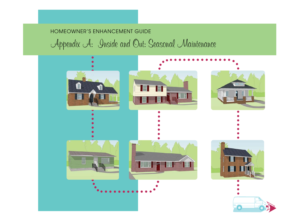## HOMEOWNER'S ENHANCEMENT GUIDE

# Appendix A: Inside and Out: Seasonal Maintenance

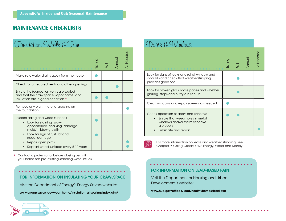## **MAINTENANCE CHECKLISTS**

| Foundation, Walls & Trim                                                                                                                                                           |        |                           |        |           |
|------------------------------------------------------------------------------------------------------------------------------------------------------------------------------------|--------|---------------------------|--------|-----------|
|                                                                                                                                                                                    | Spring | $\overline{\overline{Q}}$ | Annual | As Needed |
| Make sure water drains away from the house                                                                                                                                         |        |                           |        |           |
| Check for unsecured vents and other openings<br>Ensure the foundation vents are sealed                                                                                             |        |                           |        |           |
| and that the crawlspace vapor barrier and<br>insulation are in good condition *                                                                                                    |        |                           |        |           |
| Remove any plant material growing on<br>the foundation                                                                                                                             |        |                           |        |           |
| Inspect siding and wood surfaces<br>Look for staining, wavy<br>appearance, chalking, damage,<br>mold/mildew growth<br>Look for sign of rust, rot and<br>$\bullet$<br>insect damage |        |                           |        |           |
| Repair open joints<br>Repaint wood surfaces every 5-10 years                                                                                                                       |        |                           |        |           |

\* Contact a professional before closing vents if your home has pre-existing standing water issues.

**122**



## Doons & Windows

|                                                                                                                   | Spring | 휴 | Annua | As Needec |
|-------------------------------------------------------------------------------------------------------------------|--------|---|-------|-----------|
| Look for signs of leaks and rot at window and<br>door sills and check that weatherstripping<br>provides good seal |        |   |       |           |
| Look for broken glass, loose panes and whether<br>glazing, stops and putty are secure                             |        |   |       |           |
| Clean windows and repair screens as needed                                                                        |        |   |       |           |
| Check operation of doors and windows<br>Ensure that weep holes in metal                                           |        |   |       |           |
| windows and/or storm windows<br>are open<br>Lubricate and repair                                                  |        |   |       |           |

For more information on leaks and weather stripping, see Chapter 9, Going Green: Save Energy, Water and Money

## **FOR INFORMATION ON LEAD-BASED PAINT**

Visit the Department of Housing and Urban Development's website:

**www.hud.gov/offices/lead/healthyhomes/lead.cfm**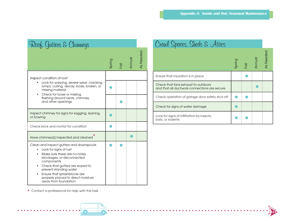| Roof, Gutters & Chimneys                                                                                                                                                                                                                                                                                         |        |                             |        |           |
|------------------------------------------------------------------------------------------------------------------------------------------------------------------------------------------------------------------------------------------------------------------------------------------------------------------|--------|-----------------------------|--------|-----------|
|                                                                                                                                                                                                                                                                                                                  | Spring | $\overline{\overline{Q}}$ . | Annual | As Needed |
| Inspect condition of roof                                                                                                                                                                                                                                                                                        |        |                             |        |           |
| Look for warping, severe wear, cracking,<br>lumps, curling, decay, loose, broken, or<br>missing material<br>Check for loose or missing<br>٠                                                                                                                                                                      |        |                             |        |           |
| flashing around vents, chimney,<br>and other openings                                                                                                                                                                                                                                                            |        |                             |        |           |
| Inspect chimney for signs for sagging, leaning,<br>or bowing                                                                                                                                                                                                                                                     |        |                             |        |           |
| Check brick and mortar for condition                                                                                                                                                                                                                                                                             |        |                             |        |           |
| Have chimney(s) inspected and cleaned                                                                                                                                                                                                                                                                            |        |                             |        |           |
| Clean and inspect gutters and downspouts<br>Look for signs of rust<br>Make sure there are no holes.<br>blockages, or disconnected<br>components<br>Check that gutters are sloped to<br>٠<br>prevent standing water<br>Ensure that splashblocks are<br>properly placed to direct moisture<br>away from foundation |        |                             |        |           |

Crawl Spaces, Sheds & Attics

|                                                                                     | Spring | $\overline{\overline{Q}}$ | Annua | As Needed |
|-------------------------------------------------------------------------------------|--------|---------------------------|-------|-----------|
| Ensure that insulation is in place                                                  |        |                           |       |           |
| Check that fans exhaust to outdoors<br>and that all ductwork connections are secure |        |                           |       |           |
| Check operation of garage door safety shut-off                                      |        |                           |       |           |
| Check for signs of water damage                                                     |        |                           |       |           |
| Look for signs of infiltration by insects,<br>bats, or rodents                      |        |                           |       |           |

**123**

 $\star$  Contact a professional for help with this task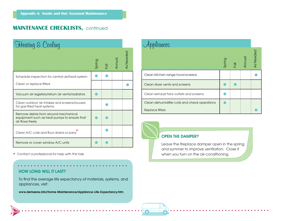## **MAINTENANCE CHECKLISTS, continued**

| Heating & Cooling                                                                                       |        |                           |        |           |
|---------------------------------------------------------------------------------------------------------|--------|---------------------------|--------|-----------|
|                                                                                                         | Spring | $\overline{\overline{Q}}$ | Annual | As Needec |
| Schedule inspection for central air/heat system                                                         |        |                           |        |           |
| Clean or replace filters                                                                                |        |                           |        |           |
| Vacuum air registers/return air vents/radiators                                                         |        |                           |        |           |
| Clean outdoor air intakes and screens/louvers<br>for gas-fired heat systems                             |        |                           |        |           |
| Remove debris from around mechanical<br>equipment such as heat pumps to ensure that<br>air flows freely |        |                           |        |           |
| Clean A/C coils and floor drains or pans                                                                |        |                           |        |           |
| Remove or cover window A/C units                                                                        |        |                           |        |           |

 $\star$  Contact a professional for help with this task

### **HOW LONG WILL IT LAST?**

**124**

To find the average life expectancy of materials, systems, and appliances, visit:

**www.demesne.info/Home-Maintenance/Appliance-Life-Expectancy.htm**

| pliances                                      |        |             |        |           |
|-----------------------------------------------|--------|-------------|--------|-----------|
|                                               | Spring | <b>Foll</b> | Annual | As Needed |
| Clean kitchen range hood screens              |        |             |        |           |
| Clean dryer vents and screens                 |        |             |        |           |
| Clean exhaust fans outlets and screens        |        |             |        |           |
| Clean dehumidifier coils and check operations |        |             |        |           |
| Replace filters                               |        |             |        |           |

### **OPEN THE DAMPER?**

Leave the fireplace damper open in the spring and summer to improve ventilation. Close it when you turn on the air-conditioning.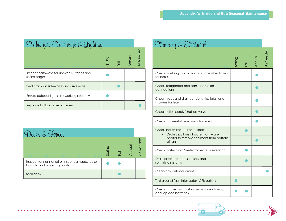| Pathways, Driveways & Lighting                          |        |                           |        |                  |
|---------------------------------------------------------|--------|---------------------------|--------|------------------|
|                                                         | Spring | $\overline{\overline{Q}}$ | Annual | <b>As Needed</b> |
| Inspect pathways for uneven surfaces and<br>sharp edges |        |                           |        |                  |
| Seal cracks in sidewalks and driveways                  |        |                           |        |                  |
| Ensure outdoor lights are working properly              |        |                           |        |                  |
| Replace bulbs and reset timers                          |        |                           |        |                  |

| Decks & Fences                                                                   |        |                           |        |                  |
|----------------------------------------------------------------------------------|--------|---------------------------|--------|------------------|
|                                                                                  | Spring | $\overline{\overline{0}}$ | Annual | <b>As Needed</b> |
| Inspect for signs of rot or insect damage, loose<br>boards, and projecting nails |        |                           |        |                  |
| Seal deck                                                                        |        |                           |        |                  |

| Plumbing & Electrical                                                   |        |      |       |           |
|-------------------------------------------------------------------------|--------|------|-------|-----------|
|                                                                         | Spring | Foll | Annua | As Needec |
| Check washing machine and dishwasher hoses<br>for leaks                 |        |      |       |           |
| Check refrigerator drip pan - icemaker<br>connections                   |        |      |       |           |
| Check traps and drains under sinks, tubs, and<br>showers for leaks      |        |      |       |           |
| Check toilet supply/shut-off valve                                      |        |      |       |           |
| Check shower-tub surrounds for leaks                                    |        |      |       |           |
| Check hot water heater for leaks<br>Drain 2 gallons of water from water |        |      |       |           |
| heater to remove sediment from bottom<br>of tank                        |        |      |       |           |
| Check water main/meter for leaks or sweating                            |        |      |       |           |
| Drain exterior faucets, hoses, and<br>sprinkling systems                |        |      |       |           |
| Clean any outdoor drains                                                |        |      |       |           |
| Test ground fault interrupter (GFI) outlets                             |        |      |       |           |
| Check smoke and carbon monoxide alarms,<br>and replace batteries        |        |      |       |           |

**125**

 $\begin{array}{ccccccccccccc} \bullet & \bullet & \bullet & \bullet & \bullet & \bullet \end{array}$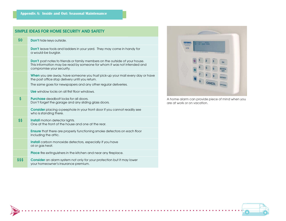### **Appendix A: Inside and Out: Seasonal Maintenance**

**126**

|        | SIMPLE IDEAS FOR HOME SECURITY AND SAFETY                                                                                                                                                          |
|--------|----------------------------------------------------------------------------------------------------------------------------------------------------------------------------------------------------|
| \$0    | Don't hide keys outside.                                                                                                                                                                           |
|        | <b>Don't</b> leave tools and ladders in your yard. They may come in handy for<br>a would-be burglar.                                                                                               |
|        | <b>Don't</b> post notes to friends or family members on the outside of your house.<br>This information may be read by someone for whom it was not intended and<br>compromise your security.        |
|        | When you are away, have someone you trust pick-up your mail every day or have<br>the post office stop delivery until you return.<br>The same goes for newspapers and any other regular deliveries. |
|        | <b>Use</b> window locks on all first floor windows.                                                                                                                                                |
| \$     | <b>Purchase</b> deadbolt locks for all doors.<br>Don't forget the garage and any sliding glass doors.                                                                                              |
|        | Consider placing a peephole in your front door if you cannot readily see<br>who is standing there.                                                                                                 |
| \$\$   | Install motion detector lights.<br>One at the front of the house and one at the rear.                                                                                                              |
|        | <b>Ensure</b> that there are properly functioning smoke detectors on each floor<br>including the attic.                                                                                            |
|        | <b>Install</b> carbon monoxide detectors, especially if you have<br>oil or gas heat.                                                                                                               |
|        | <b>Place</b> fire extinguishers in the kitchen and near any fireplace.                                                                                                                             |
| \$\$\$ | Consider an alarm system not only for your protection but it may lower<br>your homeowner's insurance premium.                                                                                      |

. . . . . . . . . . . . . .



A home alarm can provide piece of mind when you are at work or on vacation.

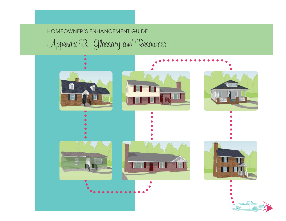## HOMEOWNER'S ENHANCEMENT GUIDE

Appendix B: Glossary and Resources

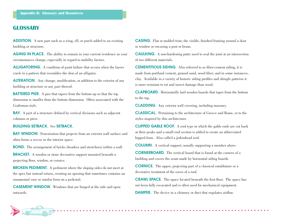## **GLOSSARY**

**ADDITION.** A new part such as a wing, ell, or porch added to an existing building or structure.

**AGING IN PLACE.** The ability to remain in your current residence as your circumstances change, especially in regard to mobility factors.

**ALLIGATORING.** A condition of paint failure that occurs when the layers crack in a pattern that resembles the skin of an alligator.

**ALTERATION.** Any change, modification, or addition to the exterior of any building or structure or any part thereof.

**BATTERED PIER.** A pier that tapers from the bottom up so that the top dimension is smaller than the bottom dimension. Often associated with the Craftsman style.

**BAY.** A part of a structure defined by vertical divisions such as adjacent columns or piers.

#### **BUILDING SETBACK.** See **SETBACK**.

**BAY WINDOW.** Fenestration that projects from an exterior wall surface and often forms a recess in the interior space.

**BOND.** The arrangement of bricks (headers and stretchers) within a wall.

**BRACKET.** A wooden or stone decorative support mounted beneath a projecting floor, window, or cornice.

**BROKEN PEDIMENT.** A pediment where the sloping sides do not meet at the apex but instead return, creating an opening that sometimes contains an ornamental vase or similar form on a pedestal.

**CASEMENT WINDOW.** Windows that are hinged at the side and open outwards.

**CASING.** Flat or molded trim; the visible, finished framing around a door or window or encasing a post or beam.

**CAULKING.** A non-hardening putty used to seal the joint at an intersection of two different materials.

**CEMENTITIOUS SIDING.** Also referred to as fiber-cement siding, it is made from portland cement, ground sand, wood fiber, and in some instances, clay. Available in a variety of historic siding profiles and shingle patterns it is more resistant to rot and insect damage than wood.

**CLAPBOARD.** Horizontally laid wooden boards that taper from the bottom to the top.

**CLADDING.** Any exterior wall covering, including masonry.

**CLASSICAL.** Pertaining to the architecture of Greece and Rome, or to the styles inspired by this architecture.

**CLIPPED GABLE ROOF.** A roof type in which the gable ends are cut back at their peaks and a small roof section is added to create an abbreviated hipped form. Also called a jerkinhead roof.

**COLUMN.** A vertical support, usually supporting a member above.

**CORNERBOARD.** The vertical board that is found at the corners of a building and covers the seam made by horizontal siding boards.

**CORNICE.** The upper, projecting part of a classical entablature or a decorative treatment of the eaves of a roof.

**CRAWL SPACE.** The space located beneath the first floor. The space has not been fully excavated and is often used for mechanical equipment.

**DAMPER.** The device in a chimney or duct that regulates airflow.

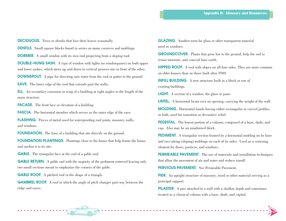**DECIDUOUS.** Trees or shrubs that lose their leaves seasonally.

**DENTILS.** Small square blocks found in series on many cornices and moldings.

**DORMER.** A small window with its own roof projecting from a sloping roof.

**DOUBLE-HUNG SASH.** A type of window with lights (or windowpanes) on both upper and lower sashes, which move up and down in vertical grooves one in front of the other.

**DOWNSPOUT.** A pipe for directing rain water from the roof or gutter to the ground.

**EAVE.** The lower edge of the roof that extends past the walls.

**ELL.** An secondary extension or wing of a building at right angles to the length of the main structure.

**FACADE.** The front face or elevation of a building.

**FASCIA.** The horizontal member which serves as the outer edge of the eave.

**FLASHING.** Pieces of metal used for waterproofing roof joints, masonry walls, and windows.

**FOUNDATION.** The base of a building that sits directly on the ground.

**FOUNDATION PLANTINGS.** Plantings close to the house that help frame the house and anchor it to its site.

**GABLE.** The triangular face at the end of a gable roof.

**GABLE RETURN.** A gable end with the majority of the pediment removed leaving only two small sections meant to emphasize the corners of the gable.

**GABLE ROOF.** A pitched roof in the shape of a triangle.

**GAMBREL ROOF**. A roof in which the angle of pitch changes part way between the ridge and eaves.

**GLAZING.** Another term for glass or other transparent material used in windows.

**GROUNDCOVER.** Plants that grow low to the ground, help the soil to retain moisture, and conceal bare earth.

**HIPPED ROOF.** A roof with slopes on all four sides. They are more common on older houses than on those built after 1940.

**INFILL BUILDING.** A new structure built in a block or row of existing buildings.

**LIGHT.** A section of a window; the glass or pane.

**LINTEL.** A horizontal beam over an opening, carrying the weight of the wall.

**MOLDING.** Horizontal bands having either rectangular or curved profiles, or both, used for transition or decorative relief.

**PEDESTAL.** The lowest portion of a column, composed of a base, dado, and cap. Also may be an unadorned block.

**PEDIMENT.** A triangular section framed by a horizontal molding on its base and two raking (sloping) moldings on each of its sides. Used as a crowning element for doors, porticos, and windows.

**PERMEABLE PAVEMENT.** The use of materials and installation techniques that allow the movement of air and water and reduce runoff.

**PERVIOUS PAVEMENT.** See Permeable Pavement.

**PIER.** An upright structure of masonry, wood or other material serving as a principal support.

**PILASTER.** A pier attached to a wall with a shallow depth and sometimes treated as a classical column with a base, shaft, and capital.

**129**

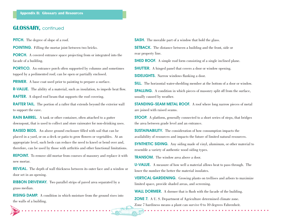### **GLOSSARY,** continued

**PITCH.** The degree of slope of a roof.

**POINTING.** Filling the mortar joint between two bricks.

**PORCH.** A covered entrance space projecting from or integrated into the facade of a building.

**PORTICO.** An entrance porch often supported by columns and sometimes topped by a pedimented roof; can be open or partially enclosed.

**PRIMER.** A base coat used prior to painting to prepare a surface.

**R-VALUE.** The ability of a material, such as insulation, to impede heat flow.

**RAFTER.** A sloped roof beam that supports the roof covering.

**RAFTER TAIL.** The portion of a rafter that extends beyond the exterior wall to support the eave.

**RAIN BARREL.** A tank or other container, often attached to a gutter downspout, that is used to collect and store rainwater for non-drinking uses.

**RAISED BEDS.** An above ground enclosure filled with soil that can be placed in a yard, or on a deck or patio to grow flowers or vegetables. At an appropriate level, such beds can reduce the need to kneel or bend over and, therefore, can be used by those with arthritis and other functional limitations.

**REPOINT.** To remove old mortar from courses of masonry and replace it with new mortar.

**REVEAL.** The depth of wall thickness between its outer face and a window or door set in an opening.

**RIBBON DRIVEWAY.** Two parallel strips of paved area separated by a grass median.

**RISING DAMP.** A condition in which moisture from the ground rises into the walls of a building.

**130**

**SASH.** The movable part of a window that hold the glass.

**SETBACK.** The distance between a building and the front, side or rear property line.

**SHED ROOF.** A simple roof form consisting of a single inclined plane.

**SHUTTER.** A hinged panel that covers a door or window opening.

**SIDELIGHTS.** Narrow windows flanking a door.

**SILL.** The horizontal water-shedding member at the bottom of a door or window.

**SPALLING.** A condition in which pieces of masonry split off from the surface, usually caused by weather.

**STANDING-SEAM METAL ROOF.** A roof where long narrow pieces of metal are joined with raised seams.

**STOOP.** A platform, generally connected to a short series of steps, that bridges the area between grade level and an entrance.

**SUSTAINABILITY.** The consideration of how consumption impacts the availability of resources and impacts the future of limited natural resources.

**SYNTHETIC SIDING.** Any siding made of vinyl, aluminum, or other material to resemble a variety of authentic wood siding types.

**TRANSOM.** The window area above a door.

**U-VALUE.** A measure of how well a material allows heat to pass through. The lower the number the better the material insulates.

**VERTICAL GARDENING.** Growing plants on trellises and arbors to maximize limited space, provide shaded areas, and screening.

**WALL DORMER.** A dormer that is flush with the facade of the building.

**ZONE 7.** A U. S. Department of Agriculture determined climate zone. Zone 7 hardiness means a plant can survive 0 to 10 degrees Fahrenheit.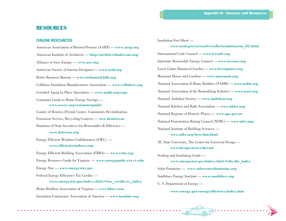## **RESOURCES**

#### **ONLINE RESOURCES**

American Association of Retired Persons (AARP) — **www.aarp.org** American Institute of Architects — http://architectfinder.aia.org/ Alliance to Save Energy — **www.ase.org** American Society of Interior Designers — **www.asid.org** Better Business Bureau — **www.richmond.bbb.org** Cellulose Insulation Manufacturers Association — **www.cellulose.org** Certified Aging In Place Specialists — www.nahb.org/caps Consumer Guide to Home Energy Savings **www.aceee.org/consumerguide/**County of Henrico (Permit Center, Community Revitalization, Extension Service, Recycling Centers) — **www.henrico.us**Database of State Incentives for Renewables  $\&$  Efficiency **www.dsireusa.org** Energy Efficient Windows Collaborative  $(EWC)$  www.efficientwindows.org/ Energy Efficient Building Association (EBBA) — **www.eeba.org** Energy Resource Guide for Virginia — **www.energyguide.ext.vt.edu/** Energy Star — **www.energystar.gov** Federal Energy Efficiency Tax Credits **www.energystar.gov/index.cfm?c=tax\_credits.tx\_index**

Home Builders Association of Virginia — **www.hbav.com** Insulation Contractors Association of America — **www.insulate.org**

Insulation Fact Sheet **www.ornl.gov/sci/roofs+walls/insulation/ins\_01.html** International Code Council — **www.iccsafe.org** Interstate Renewable Energy Council — **www.irecusa.org** Lewis Ginter Botanical Garden — **www.lewisginter.org** Maymont House and Gardens — **www.maymont.org** National Association of Home Builders (NAHB) — **www.nahb.org** National Association of the Remodeling Industry — **www.nari.org** National Audubon Society — **www.audubon.org** National Kitchen and Bath Association — **www.nkba.org/** National Register of Historic Places — **www.nps.gov/nr** National Fenestration Rating Council (NFRC) — **www.nfrc.org** National Institute of Building Sciences **www.nibs.org/betechm.html** NC State University, The Center for Universal Design **www.design.ncsu.edu/cud** Sealing and Insulating Guide **www.energystar.gov/index.cfm?c=diy.diy\_index** Solar Fountains — **www.solarwaterfountains.org** Southface Energy Institute — **www.southface.org** U. S. Department of Energy —

www.energy.gov/energyefficiency/index.htm